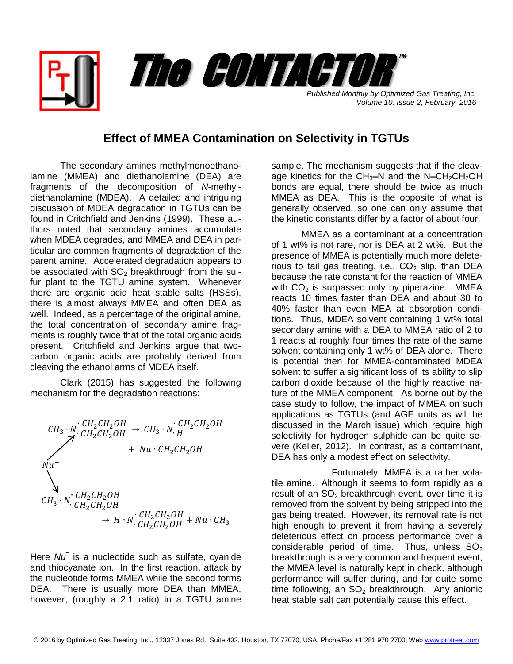*Published Monthly by Optimized Gas Treating, Inc. Volume 10, Issue 2, February, 2016* The CONTACTOR

™

## **Effect of MMEA Contamination on Selectivity in TGTUs**

The secondary amines methylmonoethanolamine (MMEA) and diethanolamine (DEA) are fragments of the decomposition of *N*-methyldiethanolamine (MDEA). A detailed and intriguing discussion of MDEA degradation in TGTUs can be found in Critchfield and Jenkins (1999). These authors noted that secondary amines accumulate when MDEA degrades, and MMEA and DEA in particular are common fragments of degradation of the parent amine. Accelerated degradation appears to be associated with  $SO<sub>2</sub>$  breakthrough from the sulfur plant to the TGTU amine system. Whenever there are organic acid heat stable salts (HSSs), there is almost always MMEA and often DEA as well. Indeed, as a percentage of the original amine, the total concentration of secondary amine fragments is roughly twice that of the total organic acids present. Critchfield and Jenkins argue that twocarbon organic acids are probably derived from cleaving the ethanol arms of MDEA itself.

Clark (2015) has suggested the following mechanism for the degradation reactions:

$$
CH_3 \cdot N \cdot CH_2CH_2OH \rightarrow CH_3 \cdot N \cdot CH_2CH_2OH
$$
  
\n
$$
Nu \cdot CH_2CH_2OH \rightarrow Nu \cdot CH_2CH_2OH
$$
  
\n
$$
Cu
$$
  
\n
$$
CH_3 \cdot N \cdot CH_2CH_2OH
$$
  
\n
$$
CH_3 \cdot N \cdot CH_2CH_2OH
$$
  
\n
$$
CH_2CH_2OH \rightarrow H \cdot N \cdot CH_2CH_2OH + Nu \cdot CH_3
$$

Here *Nu–* is a nucleotide such as sulfate, cyanide and thiocyanate ion. In the first reaction, attack by the nucleotide forms MMEA while the second forms DEA. There is usually more DEA than MMEA, however, (roughly a 2:1 ratio) in a TGTU amine

sample. The mechanism suggests that if the cleavage kinetics for the CH<sub>3</sub>–N and the N–CH<sub>2</sub>CH<sub>2</sub>OH bonds are equal, there should be twice as much MMEA as DEA. This is the opposite of what is generally observed, so one can only assume that the kinetic constants differ by a factor of about four.

MMEA as a contaminant at a concentration of 1 wt% is not rare, nor is DEA at 2 wt%. But the presence of MMEA is potentially much more deleterious to tail gas treating, i.e.,  $CO<sub>2</sub>$  slip, than DEA because the rate constant for the reaction of MMEA with  $CO<sub>2</sub>$  is surpassed only by piperazine. MMEA reacts 10 times faster than DEA and about 30 to 40% faster than even MEA at absorption conditions. Thus, MDEA solvent containing 1 wt% total secondary amine with a DEA to MMEA ratio of 2 to 1 reacts at roughly four times the rate of the same solvent containing only 1 wt% of DEA alone. There is potential then for MMEA-contaminated MDEA solvent to suffer a significant loss of its ability to slip carbon dioxide because of the highly reactive nature of the MMEA component. As borne out by the case study to follow, the impact of MMEA on such applications as TGTUs (and AGE units as will be discussed in the March issue) which require high selectivity for hydrogen sulphide can be quite severe (Keller, 2012). In contrast, as a contaminant, DEA has only a modest effect on selectivity.

Fortunately, MMEA is a rather volatile amine. Although it seems to form rapidly as a result of an  $SO<sub>2</sub>$  breakthrough event, over time it is removed from the solvent by being stripped into the gas being treated. However, its removal rate is not high enough to prevent it from having a severely deleterious effect on process performance over a considerable period of time. Thus, unless  $SO<sub>2</sub>$ breakthrough is a very common and frequent event, the MMEA level is naturally kept in check, although performance will suffer during, and for quite some time following, an  $SO<sub>2</sub>$  breakthrough. Any anionic heat stable salt can potentially cause this effect.